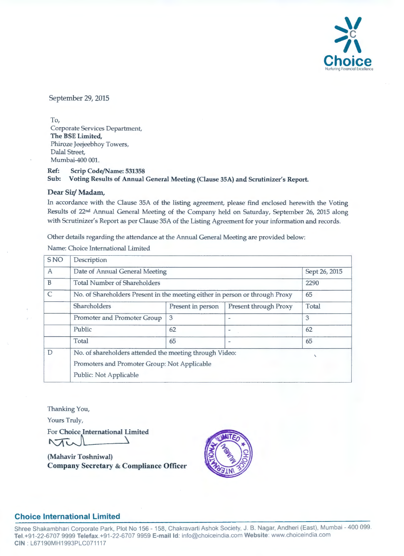

September 29, 2015

To, Corporate Services Department, The BSE Limited, Phiroze Jeejeebhoy Towers, Dalal Street, Mumbai-400 001.

Ref: Scrip Code/Name: 531358 Sub: Voting Results of Annual General Meeting (Clause 35A) and Scrutinizer's Report.

#### Dear Sir/ Madam,

In accordance with the Clause 35A of the listing agreement, please find enclosed herewith the Voting Results of 22<sup>nd</sup> Annual General Meeting of the Company held on Saturday, September 26, 2015 along with Scrutinizer's Report as per Clause 35A of the Listing Agreement for your information and records.

Other details regarding the attendance at the Annual General Meeting are provided below:

| <b>SNO</b>   | Description                                                                        |                   |                       |       |  |  |
|--------------|------------------------------------------------------------------------------------|-------------------|-----------------------|-------|--|--|
| A            | Date of Annual General Meeting<br>Sept 26, 2015                                    |                   |                       |       |  |  |
| $\mathbf B$  | <b>Total Number of Shareholders</b><br>2290                                        |                   |                       |       |  |  |
| $\mathsf{C}$ | No. of Shareholders Present in the meeting either in person or through Proxy<br>65 |                   |                       |       |  |  |
|              | Shareholders                                                                       | Present in person | Present through Proxy | Total |  |  |
|              | Promoter and Promoter Group                                                        | 3                 |                       | 3     |  |  |
|              | Public                                                                             | 62                |                       | 62    |  |  |
|              | Total                                                                              | 65                |                       | 65    |  |  |
| D            | No. of shareholders attended the meeting through Video:                            |                   |                       |       |  |  |
|              | Promoters and Promoter Group: Not Applicable                                       |                   |                       |       |  |  |
|              | Public: Not Applicable                                                             |                   |                       |       |  |  |

Name: Choice International Limited

Thanking You,

Yours Truly,

For Yours Truly,<br>For Choice International Limited<br>NUCOLONIAN Choice International Limited

(Mahavir Toshniwal) Company Secretary & Compliance Officer



# **Choice International Limited**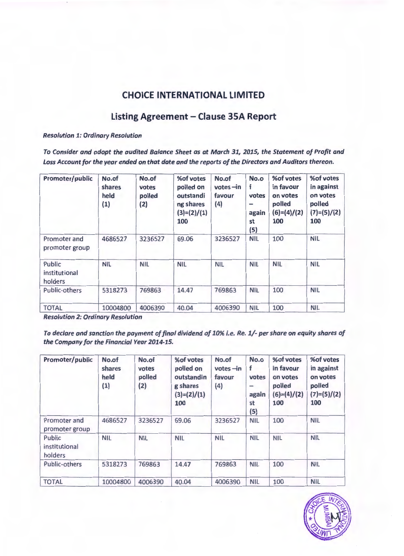# **CHOICE INTERNATIONAL LIMITED**

# **Listing Agreement- Clause 35A Report**

#### *Resolution 1: Ordinary Resolution*

*To Consider and adopt the audited Balance Sheet as at March 31, 2015, the Statement of Profit and Loss Account for the year ended on that date and the reports of the Directors and Auditors thereon.* 

| Promoter/public                    | No.of<br>shares<br>held<br>(1) | No.of<br>votes<br>polled<br>(2) | %of votes<br>polled on<br>outstandi<br>ng shares<br>$(3)=(2)/(1)$<br>100 | No.of<br>$votes$ -in<br>favour<br>(4) | No.o<br>f<br>votes<br>-<br>again<br>st<br>(5) | %of votes<br>in favour<br>on votes<br>polled<br>$(6)=(4)/(2)$<br>100 | %of votes<br>in against<br>on votes<br>polled<br>$(7)=(5)/(2)$<br>100 |
|------------------------------------|--------------------------------|---------------------------------|--------------------------------------------------------------------------|---------------------------------------|-----------------------------------------------|----------------------------------------------------------------------|-----------------------------------------------------------------------|
| Promoter and<br>promoter group     | 4686527                        | 3236527                         | 69.06                                                                    | 3236527                               | <b>NIL</b>                                    | 100                                                                  | <b>NIL</b>                                                            |
| Public<br>institutional<br>holders | <b>NIL</b>                     | <b>NIL</b>                      | <b>NIL</b>                                                               | <b>NIL</b>                            | <b>NIL</b>                                    | <b>NIL</b>                                                           | <b>NIL</b>                                                            |
| Public-others                      | 5318273                        | 769863                          | 14.47                                                                    | 769863                                | <b>NIL</b>                                    | 100                                                                  | <b>NIL</b>                                                            |
| <b>TOTAL</b>                       | 10004800                       | 4006390                         | 40.04                                                                    | 4006390                               | <b>NIL</b>                                    | 100                                                                  | <b>NIL</b>                                                            |

*Resolution 2: Ordinary Resolution* 

*To declare and sanction the payment of final dividend of 10% i. e. Re. 1/- per share on equity shares of the Company for the Financial Year 2014-15.* 

| Promoter/public                    | No.of<br>shares<br>held<br>(1) | No.of<br>votes<br>polled<br>(2) | %of votes<br>polled on<br>outstandin<br>g shares<br>$(3)=(2)/(1)$<br>100 | No.of<br>$votes$ -in<br>favour<br>(4) | No.o<br>f<br>votes<br>$\overline{\phantom{0}}$<br>again<br>st<br>(5) | %of votes<br>in favour<br>on votes<br>polled<br>$(6)=(4)/(2)$<br>100 | %of votes<br>in against<br>on votes<br>polled<br>$(7)=(5)/(2)$<br>100 |
|------------------------------------|--------------------------------|---------------------------------|--------------------------------------------------------------------------|---------------------------------------|----------------------------------------------------------------------|----------------------------------------------------------------------|-----------------------------------------------------------------------|
| Promoter and<br>promoter group     | 4686527                        | 3236527                         | 69.06                                                                    | 3236527                               | <b>NIL</b>                                                           | 100                                                                  | <b>NIL</b>                                                            |
| Public<br>institutional<br>holders | <b>NIL</b>                     | <b>NIL</b>                      | <b>NIL</b>                                                               | <b>NIL</b>                            | <b>NIL</b>                                                           | <b>NIL</b>                                                           | <b>NIL</b>                                                            |
| Public-others                      | 5318273                        | 769863                          | 14.47                                                                    | 769863                                | <b>NIL</b>                                                           | 100                                                                  | <b>NIL</b>                                                            |
| <b>TOTAL</b>                       | 10004800                       | 4006390                         | 40.04                                                                    | 4006390                               | <b>NIL</b>                                                           | 100                                                                  | <b>NIL</b>                                                            |

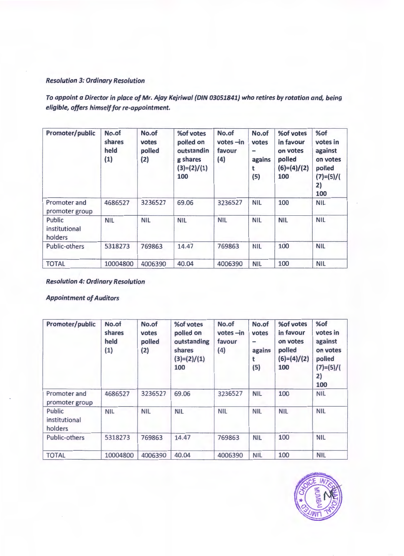#### Resolution 3: Ordinary Resolution

To appoint a Director in place of Mr. Ajay Kejriwal (DIN 03051841} who retires by rotation and, being eligible, offers himself for re-appointment.

| Promoter/public                    | No.of<br>shares<br>held<br>(1) | No.of<br>votes<br>polled<br>(2) | %of votes<br>polled on<br>outstandin<br>g shares<br>$(3)=(2)/(1)$<br>100 | No.of<br>$votes$ -in<br>favour<br>(4) | No.of<br>votes<br>$\qquad \qquad$<br>agains<br>t<br>(5) | %of votes<br>in favour<br>on votes<br>polled<br>$(6)=(4)/(2)$<br>100 | %of<br>votes in<br>against<br>on votes<br>polled<br>$(7)=(5)/($<br>2)<br>100 |
|------------------------------------|--------------------------------|---------------------------------|--------------------------------------------------------------------------|---------------------------------------|---------------------------------------------------------|----------------------------------------------------------------------|------------------------------------------------------------------------------|
| Promoter and<br>promoter group     | 4686527                        | 3236527                         | 69.06                                                                    | 3236527                               | <b>NIL</b>                                              | 100                                                                  | <b>NIL</b>                                                                   |
| Public<br>institutional<br>holders | <b>NIL</b>                     | <b>NIL</b>                      | <b>NIL</b>                                                               | <b>NIL</b>                            | <b>NIL</b>                                              | <b>NIL</b>                                                           | <b>NIL</b>                                                                   |
| Public-others                      | 5318273                        | 769863                          | 14.47                                                                    | 769863                                | <b>NIL</b>                                              | 100                                                                  | <b>NIL</b>                                                                   |
| <b>TOTAL</b>                       | 10004800                       | 4006390                         | 40.04                                                                    | 4006390                               | <b>NIL</b>                                              | 100                                                                  | <b>NIL</b>                                                                   |

Resolution 4: Ordinary Resolution

Appointment of Auditors

| Promoter/public                    | No.of<br>shares<br>held<br>(1) | No.of<br>votes<br>polled<br>(2) | % of votes<br>polled on<br>outstanding<br>shares<br>$(3)=(2)/(1)$<br>100 | No.of<br>$votes$ -in<br>favour<br>(4) | No.of<br>votes<br>$\hspace{0.5cm}$<br>agains<br>t<br>(5) | %of votes<br>in favour<br>on votes<br>polled<br>$(6)=(4)/(2)$<br>100 | %of<br>votes in<br>against<br>on votes<br>polled<br>$(7)=(5)/($<br>2)<br>100 |
|------------------------------------|--------------------------------|---------------------------------|--------------------------------------------------------------------------|---------------------------------------|----------------------------------------------------------|----------------------------------------------------------------------|------------------------------------------------------------------------------|
| Promoter and<br>promoter group     | 4686527                        | 3236527                         | 69.06                                                                    | 3236527                               | <b>NIL</b>                                               | 100                                                                  | <b>NIL</b>                                                                   |
| Public<br>institutional<br>holders | <b>NIL</b>                     | <b>NIL</b>                      | <b>NIL</b>                                                               | <b>NIL</b>                            | <b>NIL</b>                                               | <b>NIL</b>                                                           | <b>NIL</b>                                                                   |
| Public-others                      | 5318273                        | 769863                          | 14.47                                                                    | 769863                                | <b>NIL</b>                                               | 100                                                                  | <b>NIL</b>                                                                   |
| <b>TOTAL</b>                       | 10004800                       | 4006390                         | 40.04                                                                    | 4006390                               | <b>NIL</b>                                               | 100                                                                  | <b>NIL</b>                                                                   |

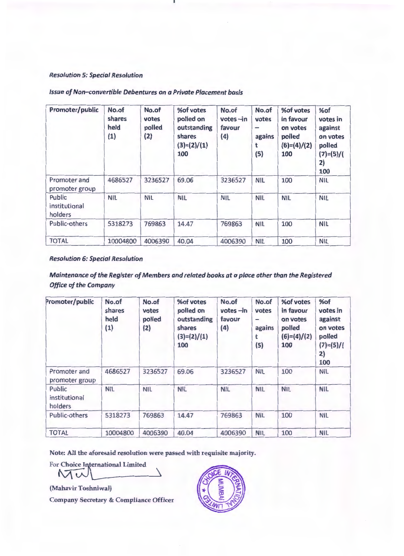#### *Resolution 5: Special Resolution*

| Promoter/public                    | No.of<br>shares<br>held<br>(1) | No.of<br>votes<br>polled<br>(2) | %of votes<br>polled on<br>outstanding<br>shares<br>$(3)=(2)/(1)$<br>100 | No.of<br>$votes$ -in<br>favour<br>(4) | No.of<br>votes<br>$\overline{\phantom{0}}$<br>agains<br>t<br>(5) | %of votes<br>in favour<br>on votes<br>polled<br>$(6)=(4)/(2)$<br>100 | %of<br>votes in<br>against<br>on votes<br>polled<br>$(7)=(5)/($<br>2)<br>100 |
|------------------------------------|--------------------------------|---------------------------------|-------------------------------------------------------------------------|---------------------------------------|------------------------------------------------------------------|----------------------------------------------------------------------|------------------------------------------------------------------------------|
| Promoter and<br>promoter group     | 4686527                        | 3236527                         | 69.06                                                                   | 3236527                               | <b>NIL</b>                                                       | 100                                                                  | <b>NIL</b>                                                                   |
| Public<br>institutional<br>holders | <b>NIL</b>                     | <b>NIL</b>                      | <b>NIL</b>                                                              | <b>NIL</b>                            | <b>NIL</b>                                                       | <b>NIL</b>                                                           | <b>NIL</b>                                                                   |
| Public-others                      | 5318273                        | 769863                          | 14.47                                                                   | 769863                                | <b>NIL</b>                                                       | 100                                                                  | <b>NIL</b>                                                                   |
| <b>TOTAL</b>                       | 10004800                       | 4006390                         | 40.04                                                                   | 4006390                               | <b>NIL</b>                                                       | 100                                                                  | <b>NIL</b>                                                                   |

#### *Issue of Non-convertible Debentures on a Private Placement basis*

#### *Resolution 6: Special Resolution*

# *Maintenance of the Register of Members and related books at a place other than the Registered Office of the Company*

| Promoter/public                    | No.of<br>shares<br>held<br>(1) | No.of<br>votes<br>polled<br>(2) | %of votes<br>polled on<br>outstanding<br>shares<br>$(3)=(2)/(1)$<br>100 | No.of<br>$votes - in$<br>favour<br>(4) | No.of<br>votes<br>$\overline{\phantom{0}}$<br>agains<br>(5) | %of votes<br>in favour<br>on votes<br>polled<br>$(6)=(4)/(2)$<br>100 | %of<br>votes in<br>against<br>on votes<br>polled<br>$(7)=(5)/($<br>2)<br>100 |
|------------------------------------|--------------------------------|---------------------------------|-------------------------------------------------------------------------|----------------------------------------|-------------------------------------------------------------|----------------------------------------------------------------------|------------------------------------------------------------------------------|
| Promoter and<br>promoter group     | 4686527                        | 3236527                         | 69.06                                                                   | 3236527                                | <b>NIL</b>                                                  | 100                                                                  | <b>NIL</b>                                                                   |
| Public<br>institutional<br>holders | <b>NIL</b>                     | <b>NIL</b>                      | <b>NIL</b>                                                              | <b>NIL</b>                             | <b>NIL</b>                                                  | <b>NIL</b>                                                           | <b>NIL</b>                                                                   |
| Public-others                      | 5318273                        | 769863                          | 14.47                                                                   | 769863                                 | <b>NIL</b>                                                  | 100                                                                  | <b>NIL</b>                                                                   |
| <b>TOTAL</b>                       | 10004800                       | 4006390                         | 40.04                                                                   | 4006390                                | <b>NIL</b>                                                  | 100                                                                  | <b>NIL</b>                                                                   |

Note: All the aforesaid resolution were passed with requisite majority.

For Choice International Limited

Mu

(Mahavir Toshniwal)

Company Secretary & Compliance Officer

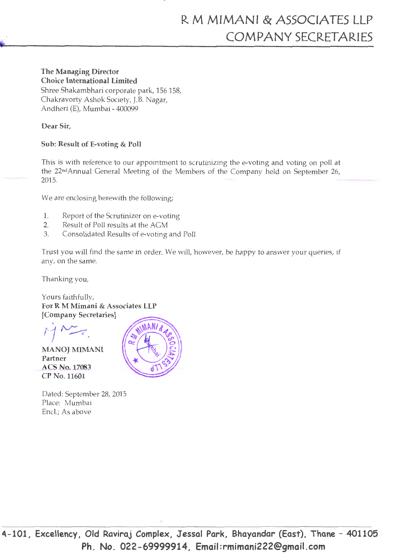# The Managing Director Choice International Limited

Shree Shakambhari corporate park, 156 158, Chakravorty Ashok Society, J.B. Nagar, Andheri (E), Mumbai - 400099

Dear Sir,

# Sub: Result of E-voting & Poll

This is with reference to our appointment to scrutinizing the e-voting and voting on poll at the 22ndAnnual General Meeting of the Members of the Company held on September 26, 2015.

We are enclosing herewith the following;

- 1. Report of the Scrutinizer on e-voting
- 2. Result of Poll results at the AGM
- 3. Consolidated Results of e-voting and Poll

Trust you will find the same in order. We will, however, be happy to answer your queries, if any, on the same.

Thanking you,

Yours faithfully, For R M Mimani & Associates LLP [Company Secretaries]

.

MANOJ MIMANI Partner ACS No.17083 CPNo.11601



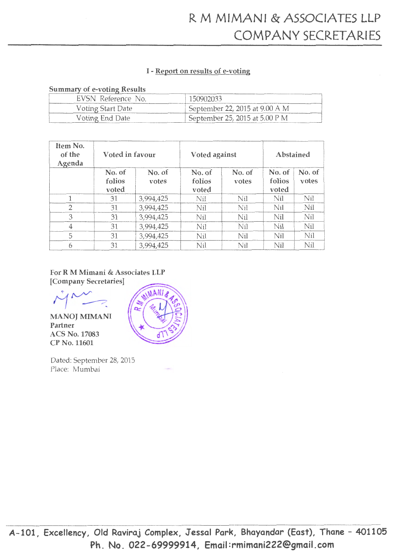# I - Report on results of e-voting

#### Summary of e-voting Results

| EVSN Reference No. | 150902033                                |
|--------------------|------------------------------------------|
| Voting Start Date  | September 22, 2015 at 9.00 A M           |
| Voting End Date    | September 25, 2015 at $5.00 \text{ P M}$ |

| Item No.<br>of the<br>Agenda | Voted in favour           |                 | Voted against             |                 | Abstained                 |                 |
|------------------------------|---------------------------|-----------------|---------------------------|-----------------|---------------------------|-----------------|
|                              | No. of<br>folios<br>voted | No. of<br>votes | No. of<br>folios<br>voted | No. of<br>votes | No. of<br>folios<br>voted | No. of<br>votes |
|                              | 31                        | 3,994,425       | Nil                       | Nil             | Nil                       | Nil             |
| 2                            | 31                        | 3,994,425       | Nil                       | Nil             | Nil                       | Nil             |
| 3                            | 31                        | 3,994,425       | Nil                       | Nil             | Nil                       | Nil             |
| 4                            | 31                        | 3,994,425       | Ni <sub>l</sub>           | Nil             | Nil                       | Nil             |
| 5                            | 31                        | 3,994,425       | Nil                       | Nil             | Nil                       | Nil             |
| 6                            | 31                        | 3,994,425       | Nil                       | Nil             | Nil                       | Nil             |

# For R M Mimani & Associates LLP

[Company Secretaries]<br>  $\bigvee$ 

MANOJ MIMANI Partner ACS No. 17083 CP No. 11601



Dated: September 28, 2015 Place: Mumbai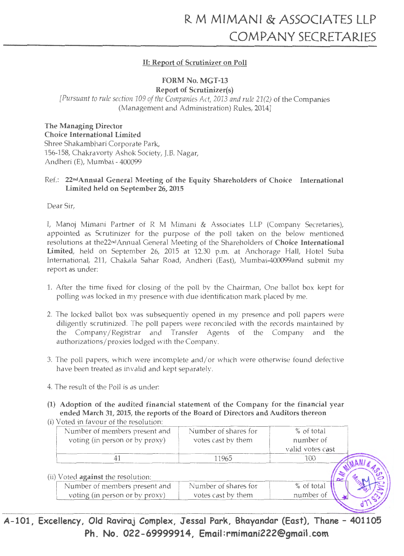# II: Report of Scrutinizer on Poll

# FORM No. MGT-13

Report of Scrutinizer(s) *[Pursuant to rule section 109 of the Companies Act, 2013 and rule 21(2)* of the Companies (Management and Administration) Rules, 2014]

The Managing Director Choice International Limited Shree Shakambhari Corporate Park, 156-158, Chakravorty Ashok Society, J.B. Nagar, Andheri (E), Mumbai - 400099

# Ref.: 22ndAnnual General Meeting of the Equity Shareholders of Choice International Limited held on September 26, 2015

Dear Sir,

I, Manoj Mimani Partner of R M Mimani & Associates LLP (Company Secretaries), appointed as Scrutinizer for the purpose of the poll taken on the below mentioned resolutions at the22ndAnnual General Meeting of the Shareholders of Choice International Limited, held on September 26, 2015 at 12.30 p.m. at Anchorage Hall, Hotel Suba International, 211, Chakala Sahar Road, Andheri (East), Mumbai-400099and submit my report as under:

- 1. After the time fixed for closing of the poll by the Chairman, One ballot box kept for polling was locked in my presence with due identification mark placed by me.
- 2. The locked ballot box was subsequently opened in my presence and poll papers were diligently scrutinized. The poll papers were reconciled with the records maintained by the Company /Registrar and Transfer Agents of the Company and the authorizations/proxies lodged with the Company.
- 3. The poll papers, which were incomplete and/ or which were otherwise found defective have been treated as invalid and kept separately.
- 4. The result of the Poll is as under:
- (1) Adoption of the audited financial statement of the Company for the financial year ended March 31, 2015, the reports of the Board of Directors and Auditors thereon (i) Voted in favour of the resolution:

| Number of members present and<br>voting (in person or by proxy) | Number of shares for<br>votes cast by them | % of total<br>number of |  |
|-----------------------------------------------------------------|--------------------------------------------|-------------------------|--|
|                                                                 |                                            | valid votes cast        |  |
|                                                                 | 11965                                      | F ( H )                 |  |
|                                                                 |                                            |                         |  |
| (ii) Voted <b>against</b> the resolution:                       |                                            |                         |  |
| Number of members present and<br>voting (in person or by proxy) | Number of shares for<br>votes cast by them | % of total<br>number of |  |

A-101, Excellency, Old Raviraj Complex, Jessal Park, Bhayandar (East), Thane- 401105 Ph. No. 022-69999914, Email:rmimani222@gmail.com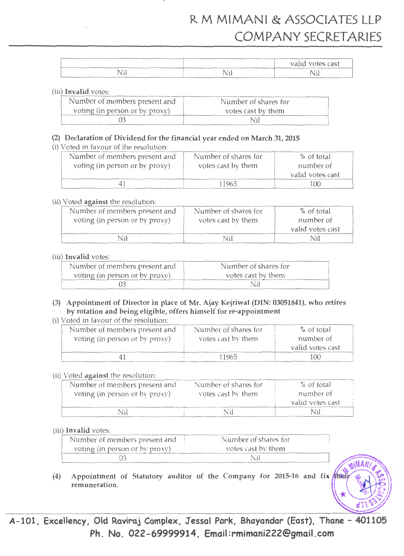# R M MIMANI & ASSOCIATES LLP COMPANY SECRETARIES

|          |                                   | valid votes cast |
|----------|-----------------------------------|------------------|
| ĿТ<br>NП | NШ<br>________<br>_______________ | Vil              |

#### (iii) Invalid votes:

| Number of members present and  | Number of shares for |
|--------------------------------|----------------------|
| voting (in person or by proxy) | votes cast by them   |
|                                | Nil                  |

#### (2) Declaration of Dividend for the financial year ended on March 31, 2015

(i) Voted in favour of the resolution:

| Number of members present and  | Number of shares for | % of total       |
|--------------------------------|----------------------|------------------|
| voting (in person or by proxy) | votes cast by them   | number of        |
|                                |                      | valid votes cast |
|                                | 11965                | 100              |

#### (ii) Voted against the resolution:

| Number of members present and  | Number of shares for | % of total       |
|--------------------------------|----------------------|------------------|
| voting (in person or by proxy) | votes cast by them   | number of        |
|                                |                      | valid votes cast |
|                                | Nil                  | Nil              |

#### (iii) Invalid votes:

| Number of members present and  | Number of shares for |
|--------------------------------|----------------------|
| voting (in person or by proxy) | votes cast by them   |
|                                | Vil                  |

# (3) Appointment of Director in place of Mr. Ajay Kejriwal (DIN: 03051841), who retires by rotation and being eligible, offers himself for re-appointment

(i) Voted in favour of the resolution:

| Number of members present and  | Number of shares for | % of total       |
|--------------------------------|----------------------|------------------|
| voting (in person or by proxy) | votes cast by them   | number of        |
|                                |                      | valid votes cast |
|                                | 11965                | $(\mathcal{H})$  |

# (ii) Voted against the resolution:

| Number of members present and<br>voting (in person or by proxy) | Number of shares for<br>votes cast by them | $%$ of total<br>number of |
|-----------------------------------------------------------------|--------------------------------------------|---------------------------|
|                                                                 |                                            | valid votes cast          |
| ∖il                                                             | Nil                                        |                           |

# (iii) Invalid votes:

| Number of members present and  | Number of shares for |
|--------------------------------|----------------------|
| voting (in person or by proxy) | votes cast by them   |
|                                | Nil                  |

(4) Appointment of Statutory auditor of the Company for 2015-16 and fix their remuneration.

A-101, Excellency, Old Raviraj Complex, Jessal Park, Bhayandar (East), Thane- 401105 Ph. No. 022-69999914, Email:rmimani222@gmail.com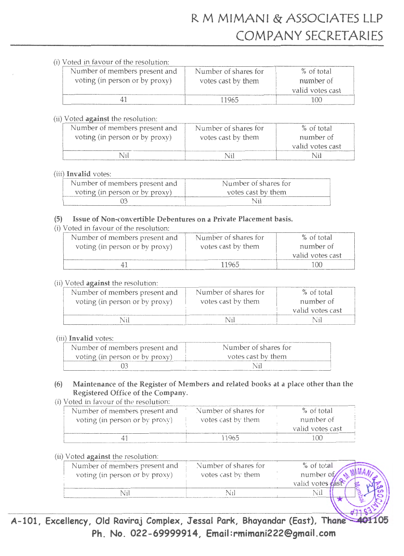# (i) Voted in favour of the resolution·

| Number of members present and  | Number of shares for | $%$ of total     |
|--------------------------------|----------------------|------------------|
| voting (in person or by proxy) | votes cast by them   | number of        |
|                                |                      | valid votes cast |
|                                | 11965                | 100              |

# $(ii)$  Voted against the resolution:

| Number of members present and  | Number of shares for | % of total       |
|--------------------------------|----------------------|------------------|
| voting (in person or by proxy) | votes cast by them   | number of        |
|                                |                      | valid votes cast |
|                                |                      |                  |

# (iii) Invalid votes:

| Number of members present and  | Number of shares for |
|--------------------------------|----------------------|
| voting (in person or by proxy) | votes cast by them   |
|                                | Nii                  |

# (5) Issue of Non-convertible Debentures on a Private Placement basis.

# (i) Voted in favour of the resolution:

| Number of members present and  | Number of shares for | % of total       |
|--------------------------------|----------------------|------------------|
| voting (in person or by proxy) | votes cast by them   | number of        |
|                                |                      | valid votes cast |
|                                | 11965                | 700              |

# (ii) Voted against the resolution:

| Number of members present and  | Number of shares for | % of total                    |
|--------------------------------|----------------------|-------------------------------|
| voting (in person or by proxy) | votes cast by them   | number of<br>valid votes cast |
|                                |                      | N 11                          |

# (iii) Invalid votes:

| Number of members present and  | Number of shares for |
|--------------------------------|----------------------|
| voting (in person or by proxy) | votes cast by them   |
|                                |                      |

# (6) Maintenance of the Register of Members and related books at a place other than the Registered Office of the Company.

# (i) Voted in favour of the resolution·

| Number of members present and  | Number of shares for | % of total       |
|--------------------------------|----------------------|------------------|
| voting (in person or by proxy) | votes cast by them   | number of        |
|                                |                      | valid votes cast |
|                                | 11965                |                  |

# (ii) Voted against the resolution:

| Number of members present and<br>voting (in person or by proxy) | Number of shares for<br>votes cast by them | % of to al<br>number of<br>valid vote; |
|-----------------------------------------------------------------|--------------------------------------------|----------------------------------------|
|                                                                 |                                            |                                        |
|                                                                 |                                            |                                        |

A-101, Excellency, Old Raviraj Complex, Jessal Park, Bhayandar (East), Thane Ph. No. 022-69999914, Email:rmimani222@gmail.com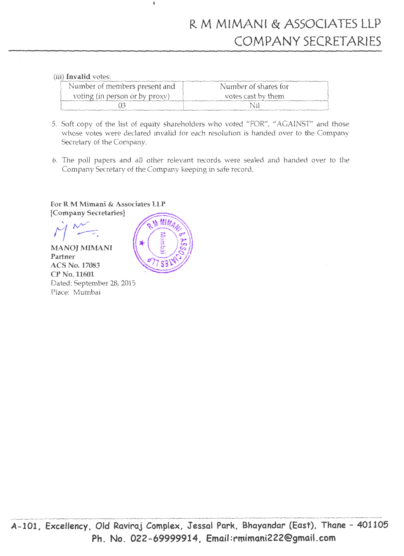# (iii) Invalid votes:

| Number of members present and  | Number of shares for |
|--------------------------------|----------------------|
| voting (in person or by proxy) | votes cast by them   |
|                                | Nil                  |

- 5. Soft copy of the list of equity shareholders who voted "FOR", "AGAINST" and those whose votes were declared invalid for each resolution is handed over to the Company Secretary of the Company.
- 6. The poll papers and all other relevant records were sealed and handed over to the Company Secretary of the Company keeping in safe record.

# For R M Mimani & Associates LLP

[Company Secretaries]

 $i^{\mathcal{M}}$  $M^{N-1}$ 

MANOJ MIMANI Partner ACS No. 17083 CP No.11601 Dated: September 28, 2015 Place: Mumbai



 $\mathbf{I}$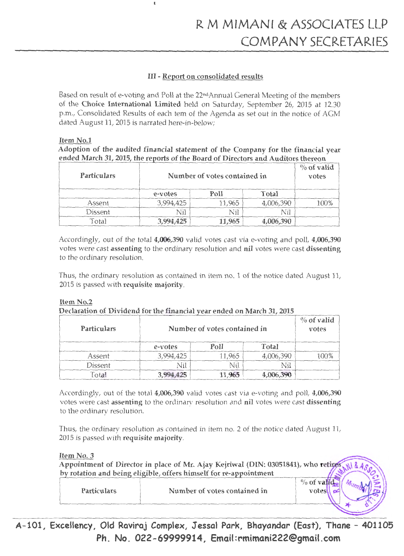# III - Report on consolidated results

 $\mathbf{I}$ 

Based on result of e-voting and Poll at the 22ndAnnual General Meeting of the members of the Choice International Limited held on Saturday, September 26, 2015 at 12.30 p.m., Consolidated Results of each tern of the Agenda as set out in the notice of AGM dated August 11, 2015 is narrated here-in-below;

# Item No.1

Adoption of the audited financial statement of the Company for the financial year ended March 31, 2015, the reports of the Board of Directors and Auditors thereon

| <b>Particulars</b> |           | Number of votes contained in |              |          |  |
|--------------------|-----------|------------------------------|--------------|----------|--|
|                    | e-votes   | ms                           | <b>Total</b> |          |  |
| Assent             | ,994,425  | .965                         | 06,390       | $\Omega$ |  |
| Dissent            |           |                              |              |          |  |
| otal               | 3,994,425 | 11.965                       |              |          |  |

Accordingly, out of the total 4,006,390 valid votes cast via e-voting and poll, 4,006,390 votes were cast assenting to the ordinary resolution and nil votes were cast dissenting to the ordinary resolution.

Thus, the ordinary resolution as contained in item no. 1 of the notice dated August 11, 2015 is passed with requisite majority.

# Item No.2

Declaration of Dividend for the financial year ended on March 31, 2015

| <b>Particulars</b> |           | Number of votes contained in |           |  |
|--------------------|-----------|------------------------------|-----------|--|
|                    | e-votes   | Poll                         | Total     |  |
| Assent             | 3,994,425 | 11,965                       | 4,006,390 |  |
| Dissent            | Nil       |                              |           |  |
| Total              |           |                              |           |  |

Accordingly, out of the total 4,006,390 valid votes cast via e-voting and poll, 4,006,390 votes were cast assenting to the ordinary resolution and nil votes were cast dissenting to the ordinary resolution.

Thus, the ordinary resolution as contained in item no. 2 of the notice dated August 11, 2015 is passed with requisite majority.

Item No. 3

|                    | Appointment of Director in place of Mr. Ajay Kejriwal (DIN: 03051841), who retines,<br>by rotation and being eligible, offers himself for re-appointment |  |
|--------------------|----------------------------------------------------------------------------------------------------------------------------------------------------------|--|
| <b>Particulars</b> | Number of votes contained in                                                                                                                             |  |
|                    |                                                                                                                                                          |  |

A-101, Excellency, Old Raviraj Complex, Jessal Park, Bhayandar (East), Thane- 40l105 Ph. No. 022-69999914, Email:rmimani222@gmail.com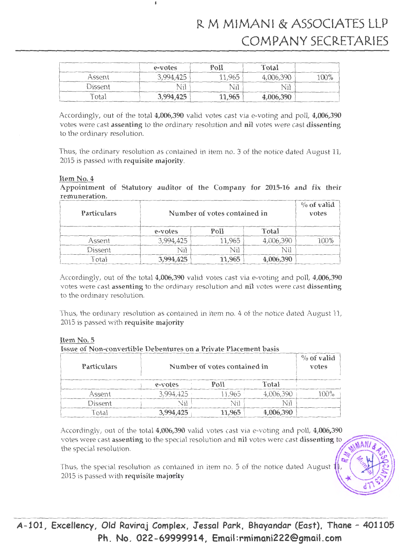|         | e-votes   | Po11   | Total     |         |
|---------|-----------|--------|-----------|---------|
| Assent  | 3,994,425 | 11.965 | ,006,390  | $100\%$ |
| Dissent |           |        |           |         |
| `otal   | 3,994,425 | 11,965 | 4,006,390 |         |

 $\mathbf{I}$ 

Accordingly, out of the total 4,006,390 valid votes cast via e-voting and poll, 4,006,390 votes were cast assenting to the ordinary resolution and nil votes were cast dissenting to the ordinary resolution.

Thus, the ordinary resolution as contained in item no. 3 of the notice dated August 11, 2015 is passed with requisite majority.

#### Item No.4

Appointment of Statutory auditor of the Company for 2015-16 and fix their remuneration.

| Particulars | Number of votes contained in |      |           | $\%$ of valid<br>votes |
|-------------|------------------------------|------|-----------|------------------------|
|             | e-votes                      | Poll | Total     |                        |
| Assent      | .994.425                     | .965 | 4,006,390 |                        |
| Dissent     |                              |      |           |                        |
| `ntal       | 3,994,425                    | .965 | 06,390    |                        |

Accordingly, out of the total 4,006,390 valid votes cast via e-voting and poll, 4,006,390 votes were cast assenting to the ordinary resolution and nil votes were cast dissenting to the ordinary resolution.

Thus, the ordinary resolution as contained in item no. 4 of the notice dated August 11, 2015 is passed with requisite majority

Item No.5

Issue of Non-convertible Debentures on a Private Placement basis

| Particulars | Number of votes contained in |        |           | $\%$ of valid<br>votes |
|-------------|------------------------------|--------|-----------|------------------------|
|             | e-votes                      | Poll   | Total     |                        |
| Assent      | 3.994.425                    |        | 4,006,390 |                        |
| Dissent     |                              |        |           |                        |
|             | 3,994,425                    | 11.965 | 06,390    |                        |

Accordingly, out of the total 4,006,390 valid votes cast via e-voting and poll, 4,006,390 votes were cast assenting to the special resolution and nil votes were cast dissenting to the special resolution.

Thus, the special resolution as contained in item no. 5 of the notice dated August  $1$ 2015 is passed with requisite majority

MANI